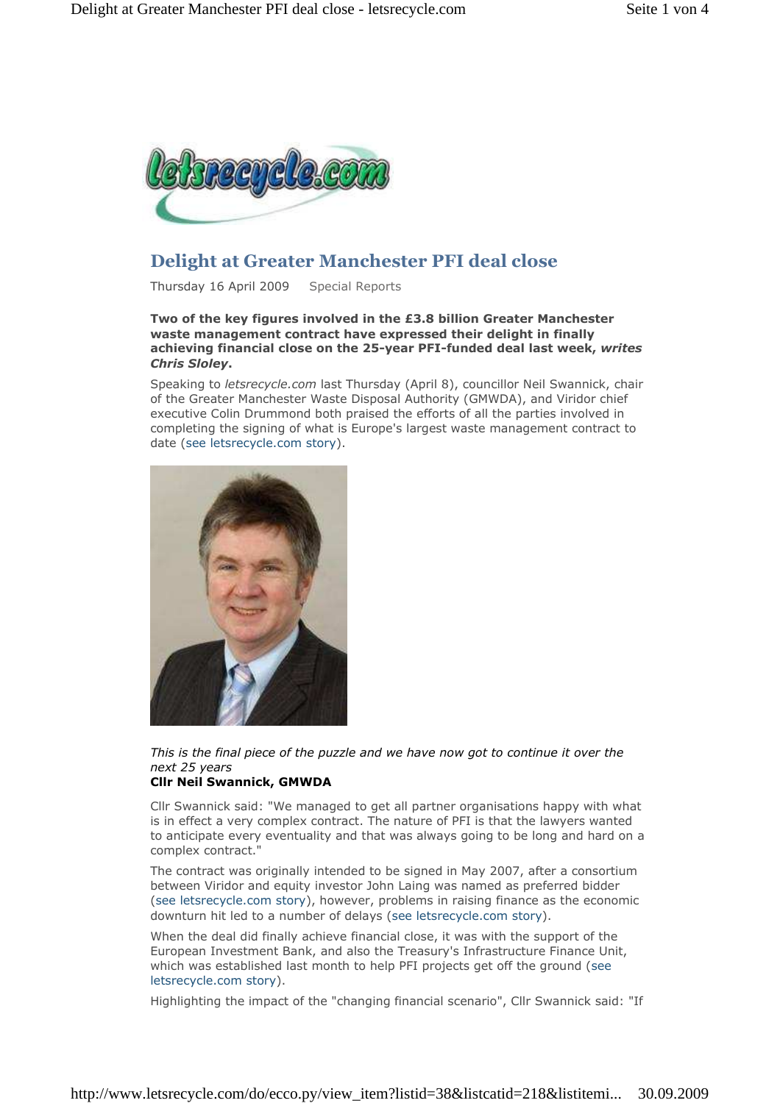

# Delight at Greater Manchester PFI deal close

Thursday 16 April 2009 Special Reports

Two of the key figures involved in the £3.8 billion Greater Manchester waste management contract have expressed their delight in finally achieving financial close on the 25-year PFI-funded deal last week, writes Chris Sloley.

Speaking to letsrecycle.com last Thursday (April 8), councillor Neil Swannick, chair of the Greater Manchester Waste Disposal Authority (GMWDA), and Viridor chief executive Colin Drummond both praised the efforts of all the parties involved in completing the signing of what is Europe's largest waste management contract to date (see letsrecycle.com story).



This is the final piece of the puzzle and we have now got to continue it over the next 25 years

# Cllr Neil Swannick, GMWDA

Cllr Swannick said: "We managed to get all partner organisations happy with what is in effect a very complex contract. The nature of PFI is that the lawyers wanted to anticipate every eventuality and that was always going to be long and hard on a complex contract."

The contract was originally intended to be signed in May 2007, after a consortium between Viridor and equity investor John Laing was named as preferred bidder (see letsrecycle.com story), however, problems in raising finance as the economic downturn hit led to a number of delays (see letsrecycle.com story).

When the deal did finally achieve financial close, it was with the support of the European Investment Bank, and also the Treasury's Infrastructure Finance Unit, which was established last month to help PFI projects get off the ground (see letsrecycle.com story).

Highlighting the impact of the "changing financial scenario", Cllr Swannick said: "If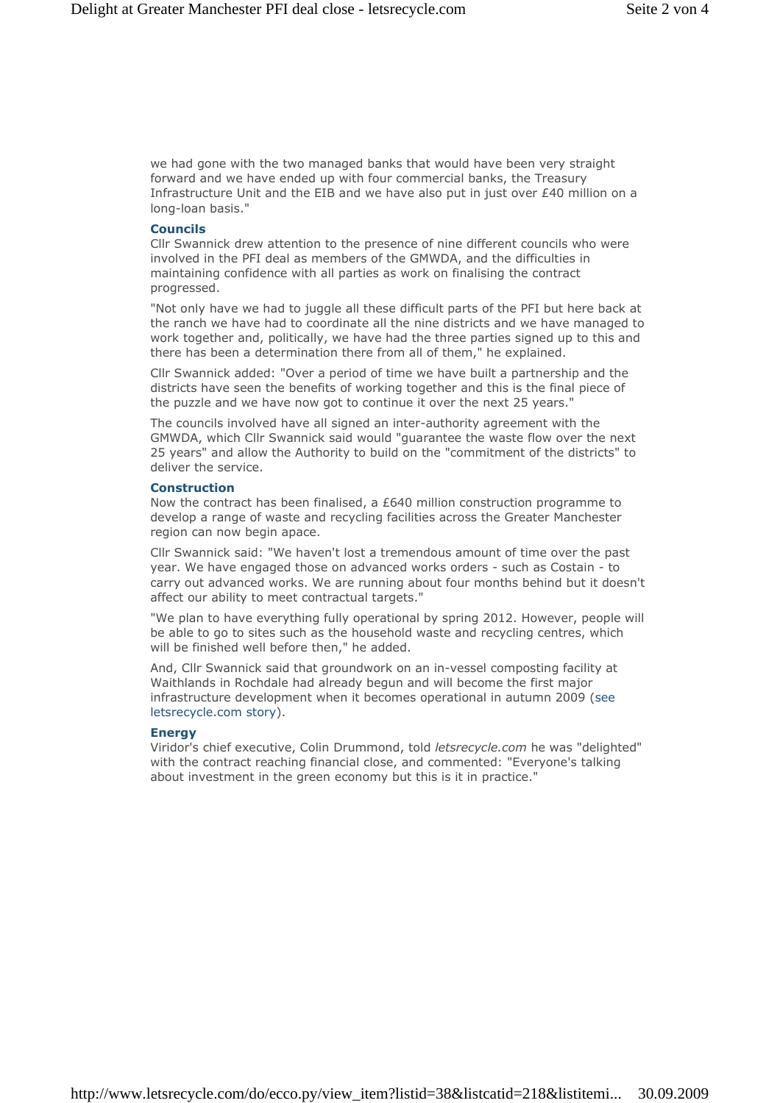we had gone with the two managed banks that would have been very straight forward and we have ended up with four commercial banks, the Treasury Infrastructure Unit and the EIB and we have also put in just over £40 million on a long-loan basis."

## Councils

Cllr Swannick drew attention to the presence of nine different councils who were involved in the PFI deal as members of the GMWDA, and the difficulties in maintaining confidence with all parties as work on finalising the contract progressed.

"Not only have we had to juggle all these difficult parts of the PFI but here back at the ranch we have had to coordinate all the nine districts and we have managed to work together and, politically, we have had the three parties signed up to this and there has been a determination there from all of them," he explained.

Cllr Swannick added: "Over a period of time we have built a partnership and the districts have seen the benefits of working together and this is the final piece of the puzzle and we have now got to continue it over the next 25 years."

The councils involved have all signed an inter-authority agreement with the GMWDA, which Cllr Swannick said would "guarantee the waste flow over the next 25 years" and allow the Authority to build on the "commitment of the districts" to deliver the service.

#### **Construction**

Now the contract has been finalised, a £640 million construction programme to develop a range of waste and recycling facilities across the Greater Manchester region can now begin apace.

Cllr Swannick said: "We haven't lost a tremendous amount of time over the past year. We have engaged those on advanced works orders - such as Costain - to carry out advanced works. We are running about four months behind but it doesn't affect our ability to meet contractual targets."

"We plan to have everything fully operational by spring 2012. However, people will be able to go to sites such as the household waste and recycling centres, which will be finished well before then," he added.

And, Cllr Swannick said that groundwork on an in-vessel composting facility at Waithlands in Rochdale had already begun and will become the first major infrastructure development when it becomes operational in autumn 2009 (see letsrecycle.com story).

#### Energy

Viridor's chief executive, Colin Drummond, told letsrecycle.com he was "delighted" with the contract reaching financial close, and commented: "Everyone's talking about investment in the green economy but this is it in practice."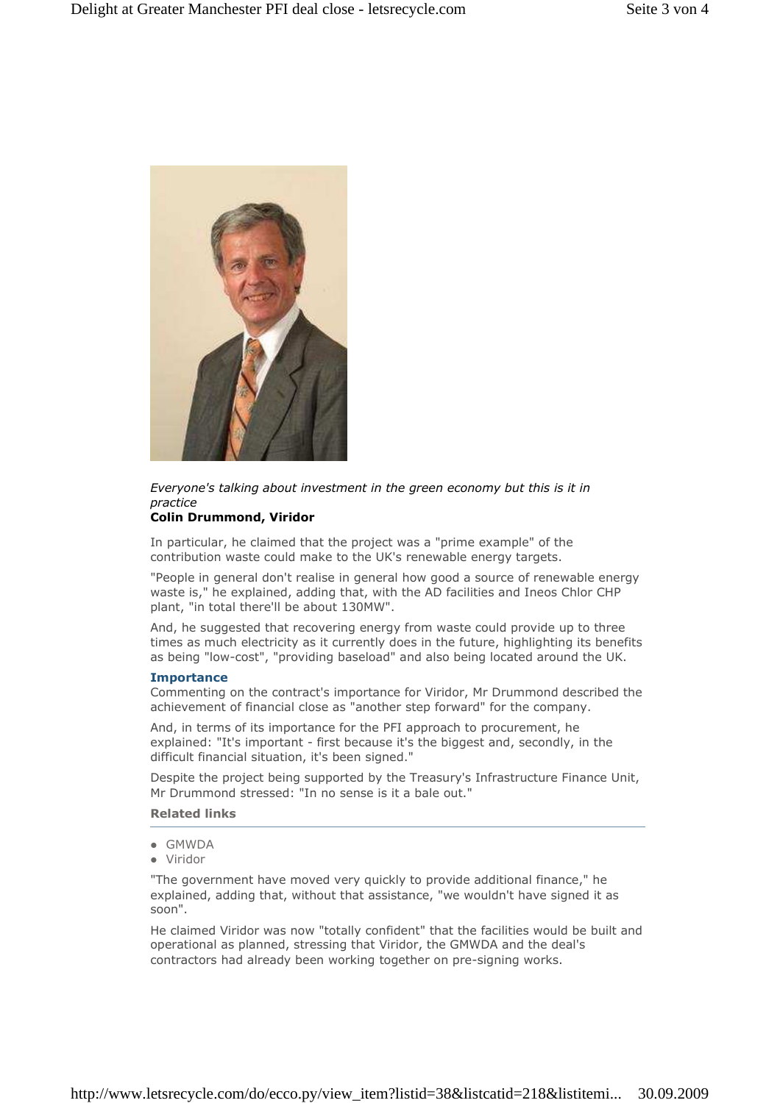

Everyone's talking about investment in the green economy but this is it in practice

# Colin Drummond, Viridor

In particular, he claimed that the project was a "prime example" of the contribution waste could make to the UK's renewable energy targets.

"People in general don't realise in general how good a source of renewable energy waste is," he explained, adding that, with the AD facilities and Ineos Chlor CHP plant, "in total there'll be about 130MW".

And, he suggested that recovering energy from waste could provide up to three times as much electricity as it currently does in the future, highlighting its benefits as being "low-cost", "providing baseload" and also being located around the UK.

### **Importance**

Commenting on the contract's importance for Viridor, Mr Drummond described the achievement of financial close as "another step forward" for the company.

And, in terms of its importance for the PFI approach to procurement, he explained: "It's important - first because it's the biggest and, secondly, in the difficult financial situation, it's been signed."

Despite the project being supported by the Treasury's Infrastructure Finance Unit, Mr Drummond stressed: "In no sense is it a bale out."

## Related links

- GMWDA
- Viridor

"The government have moved very quickly to provide additional finance," he explained, adding that, without that assistance, "we wouldn't have signed it as soon".

He claimed Viridor was now "totally confident" that the facilities would be built and operational as planned, stressing that Viridor, the GMWDA and the deal's contractors had already been working together on pre-signing works.